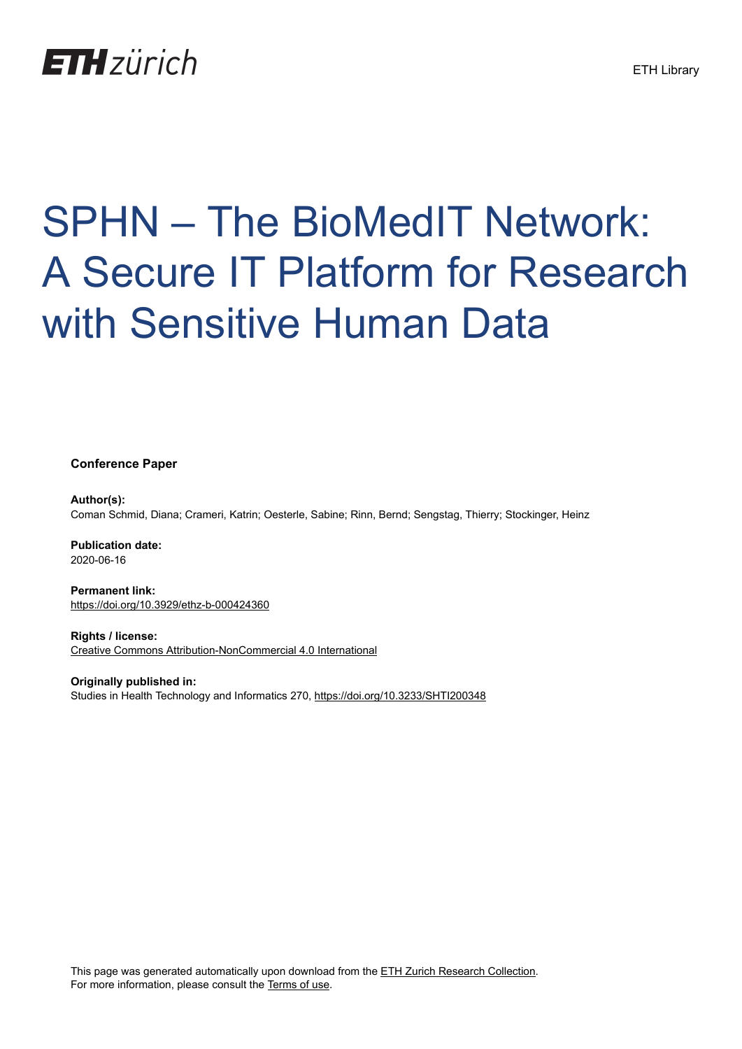

# SPHN – The BioMedIT Network: A Secure IT Platform for Research with Sensitive Human Data

**Conference Paper**

**Author(s):** Coman Schmid, Diana; Crameri, Katrin; Oesterle, Sabine; Rinn, Bernd; Sengstag, Thierry; Stockinger, Heinz

**Publication date:** 2020-06-16

**Permanent link:** <https://doi.org/10.3929/ethz-b-000424360>

**Rights / license:** [Creative Commons Attribution-NonCommercial 4.0 International](http://creativecommons.org/licenses/by-nc/4.0/)

**Originally published in:** Studies in Health Technology and Informatics 270,<https://doi.org/10.3233/SHTI200348>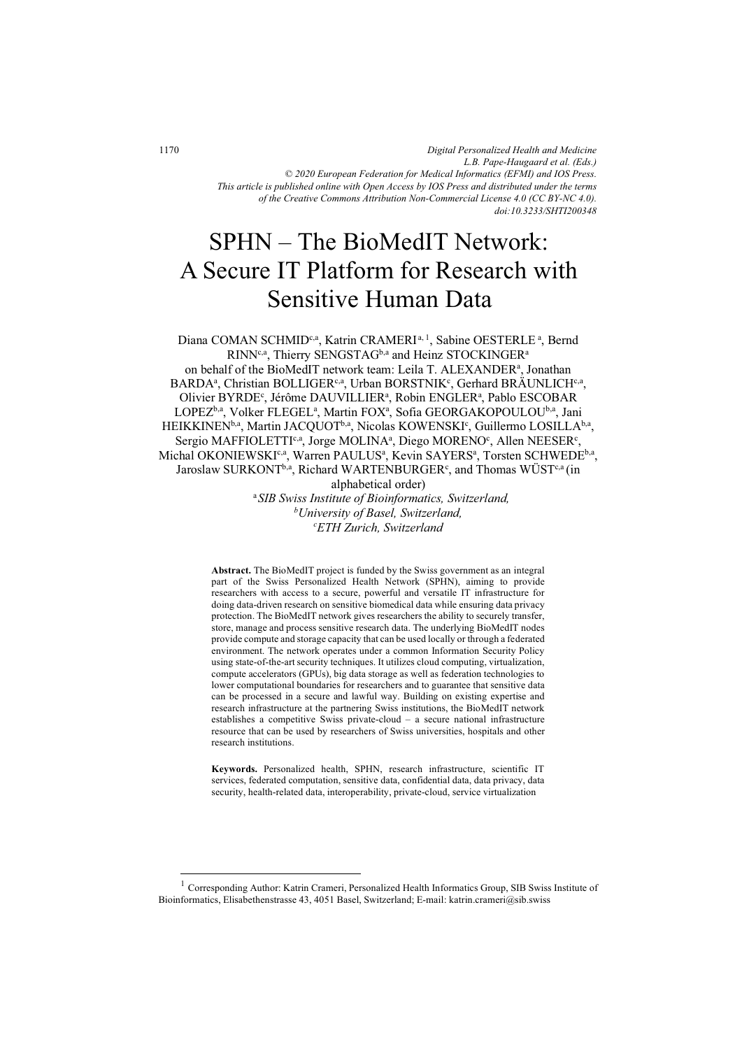*Digital Personalized Health and Medicine L.B. Pape-Haugaard et al. (Eds.) © 2020 European Federation for Medical Informatics (EFMI) and IOS Press. This article is published online with Open Access by IOS Press and distributed under the terms of the Creative Commons Attribution Non-Commercial License 4.0 (CC BY-NC 4.0). doi:10.3233/SHTI200348*

# SPHN – The BioMedIT Network: A Secure IT Platform for Research with Sensitive Human Data

Diana COMAN SCHMID<sup>c,a</sup>, Katrin CRAMERI<sup>a, 1</sup>, Sabine OESTERLE<sup>a</sup>, Bernd RINN<sup>c,a</sup>, Thierry SENGSTAG<sup>b,a</sup> and Heinz STOCKINGER<sup>a</sup> on behalf of the BioMedIT network team: Leila T. ALEXANDER<sup>a</sup>, Jonathan BARDA<sup>a</sup>, Christian BOLLIGER<sup>c,a</sup>, Urban BORSTNIK<sup>c</sup>, Gerhard BRÄUNLICH<sup>c,a</sup>, Olivier BYRDE<sup>c</sup>, Jérôme DAUVILLIER<sup>a</sup>, Robin ENGLER<sup>a</sup>, Pablo ESCOBAR LOPEZ<sup>b,a</sup>, Volker FLEGEL<sup>a</sup>, Martin FOX<sup>a</sup>, Sofia GEORGAKOPOULOU<sup>b,a</sup>, Jani HEIKKINEN<sup>b,a</sup>, Martin JACQUOT<sup>b,a</sup>, Nicolas KOWENSKI<sup>c</sup>, Guillermo LOSILLA<sup>b,a</sup>, Sergio MAFFIOLETTI<sup>c,a</sup>, Jorge MOLINA<sup>a</sup>, Diego MORENO<sup>c</sup>, Allen NEESER<sup>c</sup>, Michal OKONIEWSKI<sup>c,a</sup>, Warren PAULUS<sup>a</sup>, Kevin SAYERS<sup>a</sup>, Torsten SCHWEDE<sup>b,a</sup>, Jaroslaw SURKONT<sup>b,a</sup>, Richard WARTENBURGER<sup>c</sup>, and Thomas WÜST<sup>c,a</sup> (in alphabetical order)

<sup>a</sup>*SIB Swiss Institute of Bioinformatics, Switzerland, b University of Basel, Switzerland, c ETH Zurich, Switzerland* 

**Abstract.** The BioMedIT project is funded by the Swiss government as an integral part of the Swiss Personalized Health Network (SPHN), aiming to provide researchers with access to a secure, powerful and versatile IT infrastructure for doing data-driven research on sensitive biomedical data while ensuring data privacy protection. The BioMedIT network gives researchers the ability to securely transfer, store, manage and process sensitive research data. The underlying BioMedIT nodes provide compute and storage capacity that can be used locally or through a federated environment. The network operates under a common Information Security Policy using state-of-the-art security techniques. It utilizes cloud computing, virtualization, compute accelerators (GPUs), big data storage as well as federation technologies to lower computational boundaries for researchers and to guarantee that sensitive data can be processed in a secure and lawful way. Building on existing expertise and research infrastructure at the partnering Swiss institutions, the BioMedIT network establishes a competitive Swiss private-cloud – a secure national infrastructure resource that can be used by researchers of Swiss universities, hospitals and other research institutions.

**Keywords.** Personalized health, SPHN, research infrastructure, scientific IT services, federated computation, sensitive data, confidential data, data privacy, data security, health-related data, interoperability, private-cloud, service virtualization

-

 $1$  Corresponding Author: Katrin Crameri, Personalized Health Informatics Group, SIB Swiss Institute of Bioinformatics, Elisabethenstrasse 43, 4051 Basel, Switzerland; E-mail: katrin.crameri@sib.swiss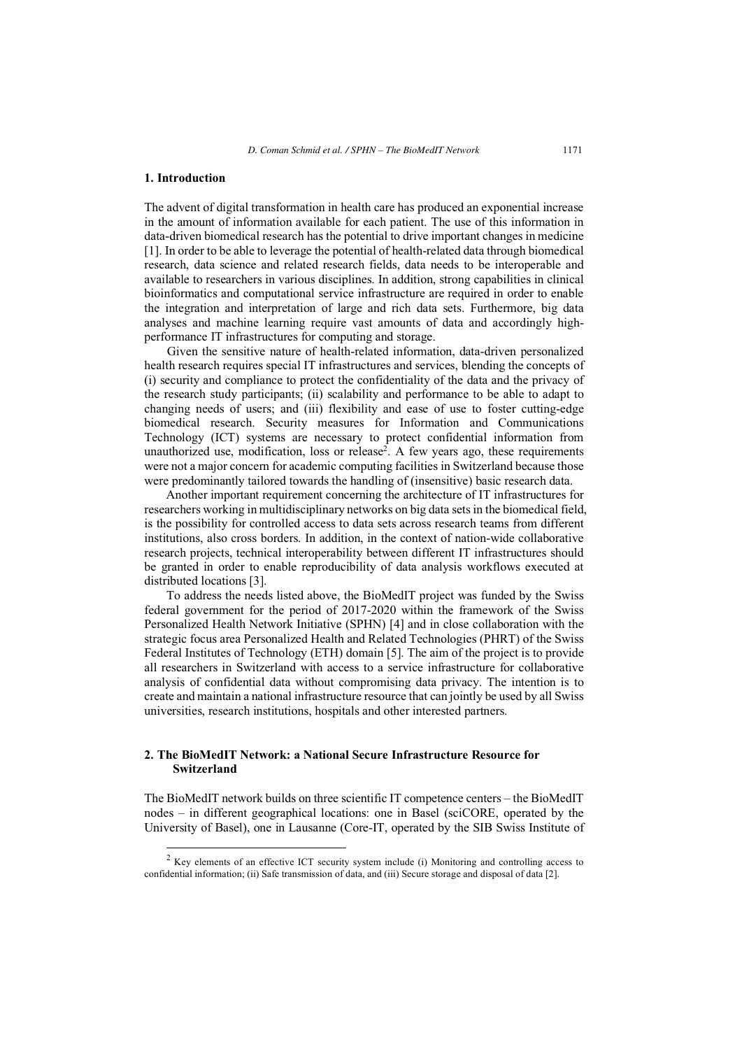#### **1. Introduction**

 $\overline{a}$ 

The advent of digital transformation in health care has produced an exponential increase in the amount of information available for each patient. The use of this information in data-driven biomedical research has the potential to drive important changes in medicine [1]. In order to be able to leverage the potential of health-related data through biomedical research, data science and related research fields, data needs to be interoperable and available to researchers in various disciplines. In addition, strong capabilities in clinical bioinformatics and computational service infrastructure are required in order to enable the integration and interpretation of large and rich data sets. Furthermore, big data analyses and machine learning require vast amounts of data and accordingly highperformance IT infrastructures for computing and storage.

Given the sensitive nature of health-related information, data-driven personalized health research requires special IT infrastructures and services, blending the concepts of (i) security and compliance to protect the confidentiality of the data and the privacy of the research study participants; (ii) scalability and performance to be able to adapt to changing needs of users; and (iii) flexibility and ease of use to foster cutting-edge biomedical research. Security measures for Information and Communications Technology (ICT) systems are necessary to protect confidential information from unauthorized use, modification, loss or release<sup>2</sup>. A few years ago, these requirements were not a major concern for academic computing facilities in Switzerland because those were predominantly tailored towards the handling of (insensitive) basic research data.

Another important requirement concerning the architecture of IT infrastructures for researchers working in multidisciplinary networks on big data sets in the biomedical field, is the possibility for controlled access to data sets across research teams from different institutions, also cross borders. In addition, in the context of nation-wide collaborative research projects, technical interoperability between different IT infrastructures should be granted in order to enable reproducibility of data analysis workflows executed at distributed locations [3].

To address the needs listed above, the BioMedIT project was funded by the Swiss federal government for the period of 2017-2020 within the framework of the Swiss Personalized Health Network Initiative (SPHN) [4] and in close collaboration with the strategic focus area Personalized Health and Related Technologies (PHRT) of the Swiss Federal Institutes of Technology (ETH) domain [5]. The aim of the project is to provide all researchers in Switzerland with access to a service infrastructure for collaborative analysis of confidential data without compromising data privacy. The intention is to create and maintain a national infrastructure resource that can jointly be used by all Swiss universities, research institutions, hospitals and other interested partners.

# **2. The BioMedIT Network: a National Secure Infrastructure Resource for Switzerland**

The BioMedIT network builds on three scientific IT competence centers – the BioMedIT nodes – in different geographical locations: one in Basel (sciCORE, operated by the University of Basel), one in Lausanne (Core-IT, operated by the SIB Swiss Institute of

<sup>&</sup>lt;sup>2</sup> Key elements of an effective ICT security system include (i) Monitoring and controlling access to confidential information; (ii) Safe transmission of data, and (iii) Secure storage and disposal of data [2].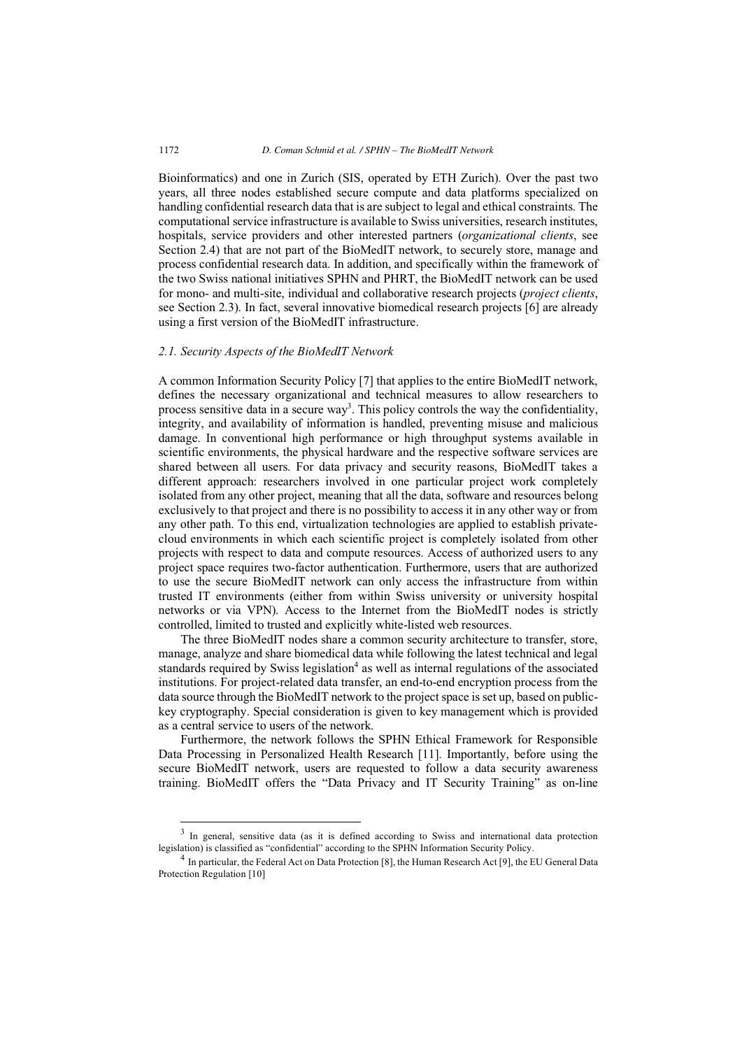Bioinformatics) and one in Zurich (SIS, operated by ETH Zurich). Over the past two years, all three nodes established secure compute and data platforms specialized on handling confidential research data that is are subject to legal and ethical constraints. The computational service infrastructure is available to Swiss universities, research institutes, hospitals, service providers and other interested partners (*organizational clients*, see Section 2.4) that are not part of the BioMedIT network, to securely store, manage and process confidential research data. In addition, and specifically within the framework of the two Swiss national initiatives SPHN and PHRT, the BioMedIT network can be used for mono- and multi-site, individual and collaborative research projects (*project clients*, see Section 2.3). In fact, several innovative biomedical research projects [6] are already using a first version of the BioMedIT infrastructure.

## *2.1. Security Aspects of the BioMedIT Network*

A common Information Security Policy [7] that applies to the entire BioMedIT network, defines the necessary organizational and technical measures to allow researchers to process sensitive data in a secure way<sup>3</sup>. This policy controls the way the confidentiality, integrity, and availability of information is handled, preventing misuse and malicious damage. In conventional high performance or high throughput systems available in scientific environments, the physical hardware and the respective software services are shared between all users. For data privacy and security reasons, BioMedIT takes a different approach: researchers involved in one particular project work completely isolated from any other project, meaning that all the data, software and resources belong exclusively to that project and there is no possibility to access it in any other way or from any other path. To this end, virtualization technologies are applied to establish privatecloud environments in which each scientific project is completely isolated from other projects with respect to data and compute resources. Access of authorized users to any project space requires two-factor authentication. Furthermore, users that are authorized to use the secure BioMedIT network can only access the infrastructure from within trusted IT environments (either from within Swiss university or university hospital networks or via VPN). Access to the Internet from the BioMedIT nodes is strictly controlled, limited to trusted and explicitly white-listed web resources.

The three BioMedIT nodes share a common security architecture to transfer, store, manage, analyze and share biomedical data while following the latest technical and legal standards required by Swiss legislation<sup>4</sup> as well as internal regulations of the associated institutions. For project-related data transfer, an end-to-end encryption process from the data source through the BioMedIT network to the project space is set up, based on publickey cryptography. Special consideration is given to key management which is provided as a central service to users of the network.

Furthermore, the network follows the SPHN Ethical Framework for Responsible Data Processing in Personalized Health Research [11]. Importantly, before using the secure BioMedIT network, users are requested to follow a data security awareness training. BioMedIT offers the "Data Privacy and IT Security Training" as on-line

-

<sup>&</sup>lt;sup>3</sup> In general, sensitive data (as it is defined according to Swiss and international data protection legislation) is classified as "confidential" according to the SPHN Information Security Policy.

<sup>4</sup> In particular, the Federal Act on Data Protection [8], the Human Research Act [9], the EU General Data Protection Regulation [10]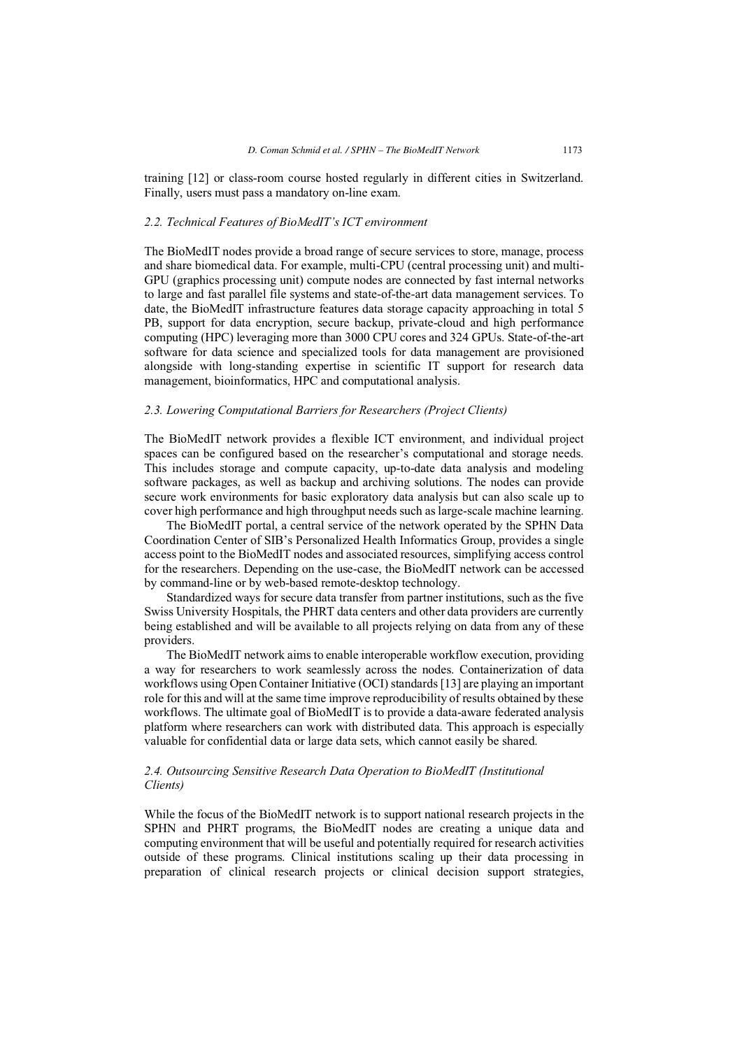training [12] or class-room course hosted regularly in different cities in Switzerland. Finally, users must pass a mandatory on-line exam.

# *2.2. Technical Features of BioMedIT's ICT environment*

The BioMedIT nodes provide a broad range of secure services to store, manage, process and share biomedical data. For example, multi-CPU (central processing unit) and multi-GPU (graphics processing unit) compute nodes are connected by fast internal networks to large and fast parallel file systems and state-of-the-art data management services. To date, the BioMedIT infrastructure features data storage capacity approaching in total 5 PB, support for data encryption, secure backup, private-cloud and high performance computing (HPC) leveraging more than 3000 CPU cores and 324 GPUs. State-of-the-art software for data science and specialized tools for data management are provisioned alongside with long-standing expertise in scientific IT support for research data management, bioinformatics, HPC and computational analysis.

## *2.3. Lowering Computational Barriers for Researchers (Project Clients)*

The BioMedIT network provides a flexible ICT environment, and individual project spaces can be configured based on the researcher's computational and storage needs. This includes storage and compute capacity, up-to-date data analysis and modeling software packages, as well as backup and archiving solutions. The nodes can provide secure work environments for basic exploratory data analysis but can also scale up to cover high performance and high throughput needs such as large-scale machine learning.

The BioMedIT portal, a central service of the network operated by the SPHN Data Coordination Center of SIB's Personalized Health Informatics Group, provides a single access point to the BioMedIT nodes and associated resources, simplifying access control for the researchers. Depending on the use-case, the BioMedIT network can be accessed by command-line or by web-based remote-desktop technology.

Standardized ways for secure data transfer from partner institutions, such as the five Swiss University Hospitals, the PHRT data centers and other data providers are currently being established and will be available to all projects relying on data from any of these providers.

The BioMedIT network aims to enable interoperable workflow execution, providing a way for researchers to work seamlessly across the nodes. Containerization of data workflows using Open Container Initiative (OCI) standards [13] are playing an important role for this and will at the same time improve reproducibility of results obtained by these workflows. The ultimate goal of BioMedIT is to provide a data-aware federated analysis platform where researchers can work with distributed data. This approach is especially valuable for confidential data or large data sets, which cannot easily be shared.

# *2.4. Outsourcing Sensitive Research Data Operation to BioMedIT (Institutional Clients)*

While the focus of the BioMedIT network is to support national research projects in the SPHN and PHRT programs, the BioMedIT nodes are creating a unique data and computing environment that will be useful and potentially required for research activities outside of these programs. Clinical institutions scaling up their data processing in preparation of clinical research projects or clinical decision support strategies,